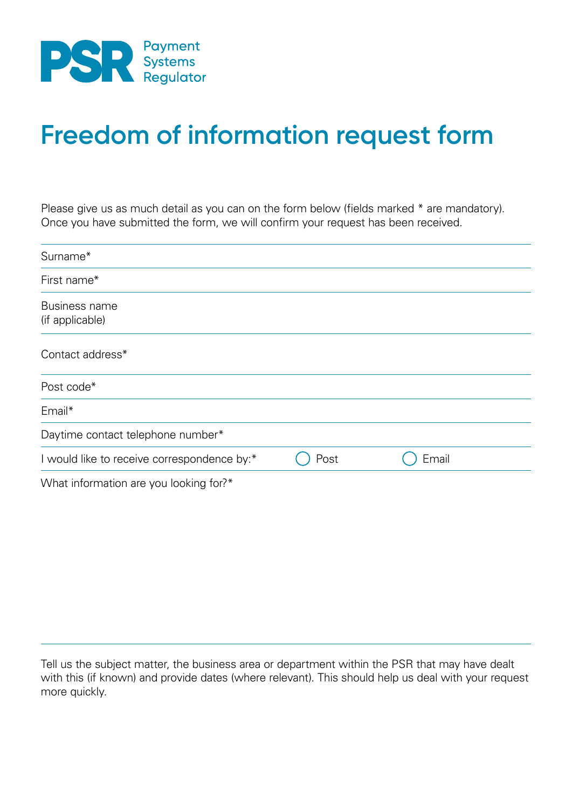

## **Freedom of information request form**

Please give us as much detail as you can on the form below (fields marked \* are mandatory). Once you have submitted the form, we will confirm your request has been received.

| Surname*                                    |      |       |  |
|---------------------------------------------|------|-------|--|
| First name*                                 |      |       |  |
| Business name<br>(if applicable)            |      |       |  |
| Contact address*                            |      |       |  |
| Post code*                                  |      |       |  |
| Email*                                      |      |       |  |
| Daytime contact telephone number*           |      |       |  |
| I would like to receive correspondence by:* | Post | Email |  |
| What information are you looking for?*      |      |       |  |

Tell us the subject matter, the business area or department within the PSR that may have dealt with this (if known) and provide dates (where relevant). This should help us deal with your request more quickly.